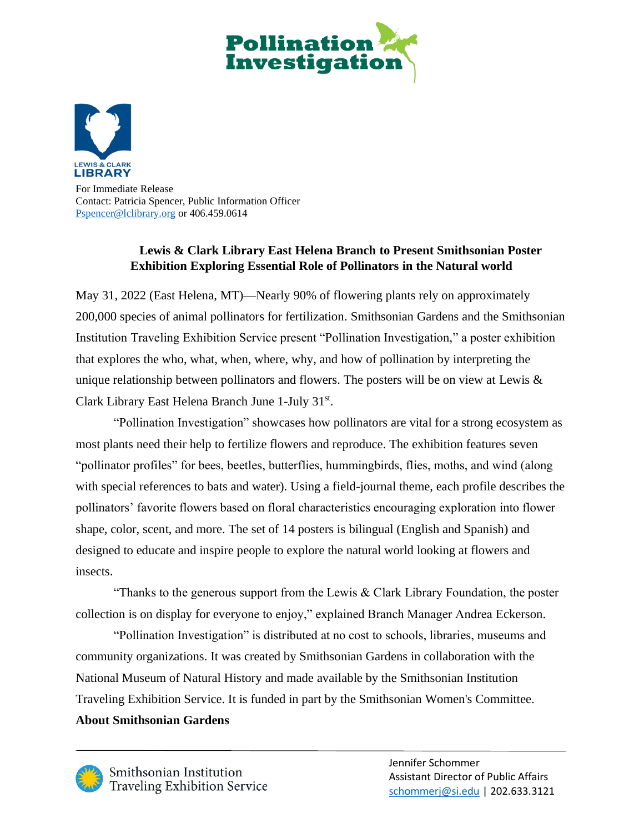



For Immediate Release Contact: Patricia Spencer, Public Information Officer [Pspencer@lclibrary.org](mailto:Pspencer@lclibrary.org) or 406.459.0614

## **Lewis & Clark Library East Helena Branch to Present Smithsonian Poster Exhibition Exploring Essential Role of Pollinators in the Natural world**

May 31, 2022 (East Helena, MT)—Nearly 90% of flowering plants rely on approximately 200,000 species of animal pollinators for fertilization. Smithsonian Gardens and the Smithsonian Institution Traveling Exhibition Service present "Pollination Investigation," a poster exhibition that explores the who, what, when, where, why, and how of pollination by interpreting the unique relationship between pollinators and flowers. The posters will be on view at Lewis & Clark Library East Helena Branch June 1-July 31st.

"Pollination Investigation" showcases how pollinators are vital for a strong ecosystem as most plants need their help to fertilize flowers and reproduce. The exhibition features seven "pollinator profiles" for bees, beetles, butterflies, hummingbirds, flies, moths, and wind (along with special references to bats and water). Using a field-journal theme, each profile describes the pollinators' favorite flowers based on floral characteristics encouraging exploration into flower shape, color, scent, and more. The set of 14 posters is bilingual (English and Spanish) and designed to educate and inspire people to explore the natural world looking at flowers and insects.

"Thanks to the generous support from the Lewis  $& Clark Library Foundation, the poster$ collection is on display for everyone to enjoy," explained Branch Manager Andrea Eckerson.

"Pollination Investigation" is distributed at no cost to schools, libraries, museums and community organizations. It was created by Smithsonian Gardens in collaboration with the National Museum of Natural History and made available by the Smithsonian Institution Traveling Exhibition Service. It is funded in part by the Smithsonian Women's Committee. **About Smithsonian Gardens**